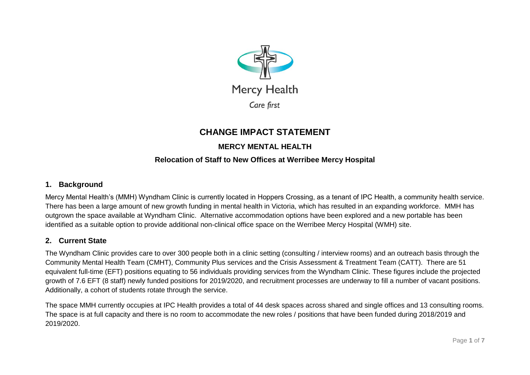

# **CHANGE IMPACT STATEMENT**

# **MERCY MENTAL HEALTH**

# **Relocation of Staff to New Offices at Werribee Mercy Hospital**

### **1. Background**

Mercy Mental Health's (MMH) Wyndham Clinic is currently located in Hoppers Crossing, as a tenant of IPC Health, a community health service. There has been a large amount of new growth funding in mental health in Victoria, which has resulted in an expanding workforce. MMH has outgrown the space available at Wyndham Clinic. Alternative accommodation options have been explored and a new portable has been identified as a suitable option to provide additional non-clinical office space on the Werribee Mercy Hospital (WMH) site.

#### **2. Current State**

The Wyndham Clinic provides care to over 300 people both in a clinic setting (consulting / interview rooms) and an outreach basis through the Community Mental Health Team (CMHT), Community Plus services and the Crisis Assessment & Treatment Team (CATT). There are 51 equivalent full-time (EFT) positions equating to 56 individuals providing services from the Wyndham Clinic. These figures include the projected growth of 7.6 EFT (8 staff) newly funded positions for 2019/2020, and recruitment processes are underway to fill a number of vacant positions. Additionally, a cohort of students rotate through the service.

The space MMH currently occupies at IPC Health provides a total of 44 desk spaces across shared and single offices and 13 consulting rooms. The space is at full capacity and there is no room to accommodate the new roles / positions that have been funded during 2018/2019 and 2019/2020.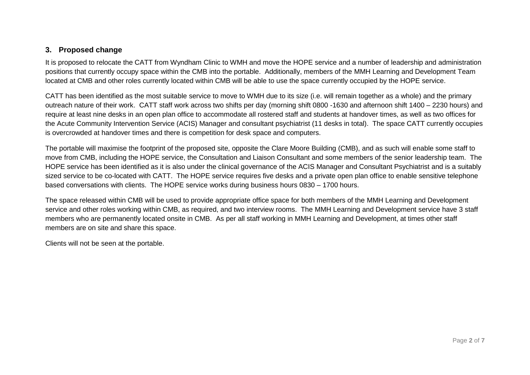## **3. Proposed change**

It is proposed to relocate the CATT from Wyndham Clinic to WMH and move the HOPE service and a number of leadership and administration positions that currently occupy space within the CMB into the portable. Additionally, members of the MMH Learning and Development Team located at CMB and other roles currently located within CMB will be able to use the space currently occupied by the HOPE service.

CATT has been identified as the most suitable service to move to WMH due to its size (i.e. will remain together as a whole) and the primary outreach nature of their work. CATT staff work across two shifts per day (morning shift 0800 -1630 and afternoon shift 1400 – 2230 hours) and require at least nine desks in an open plan office to accommodate all rostered staff and students at handover times, as well as two offices for the Acute Community Intervention Service (ACIS) Manager and consultant psychiatrist (11 desks in total). The space CATT currently occupies is overcrowded at handover times and there is competition for desk space and computers.

The portable will maximise the footprint of the proposed site, opposite the Clare Moore Building (CMB), and as such will enable some staff to move from CMB, including the HOPE service, the Consultation and Liaison Consultant and some members of the senior leadership team. The HOPE service has been identified as it is also under the clinical governance of the ACIS Manager and Consultant Psychiatrist and is a suitably sized service to be co-located with CATT. The HOPE service requires five desks and a private open plan office to enable sensitive telephone based conversations with clients. The HOPE service works during business hours 0830 – 1700 hours.

The space released within CMB will be used to provide appropriate office space for both members of the MMH Learning and Development service and other roles working within CMB, as required, and two interview rooms. The MMH Learning and Development service have 3 staff members who are permanently located onsite in CMB. As per all staff working in MMH Learning and Development, at times other staff members are on site and share this space.

Clients will not be seen at the portable.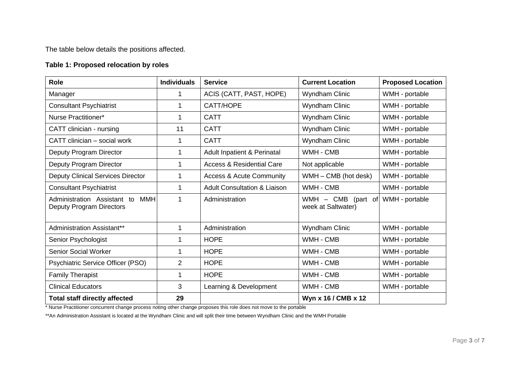The table below details the positions affected.

# **Table 1: Proposed relocation by roles**

| <b>Role</b>                                                           | <b>Individuals</b> | <b>Service</b>                          | <b>Current Location</b>                          | <b>Proposed Location</b> |
|-----------------------------------------------------------------------|--------------------|-----------------------------------------|--------------------------------------------------|--------------------------|
| Manager                                                               | 1                  | ACIS (CATT, PAST, HOPE)                 | <b>Wyndham Clinic</b>                            | WMH - portable           |
| <b>Consultant Psychiatrist</b>                                        |                    | CATT/HOPE                               | Wyndham Clinic                                   | WMH - portable           |
| Nurse Practitioner*                                                   |                    | <b>CATT</b>                             | Wyndham Clinic                                   | WMH - portable           |
| CATT clinician - nursing                                              | 11                 | <b>CATT</b>                             | Wyndham Clinic                                   | WMH - portable           |
| CATT clinician – social work                                          |                    | <b>CATT</b>                             | Wyndham Clinic                                   | WMH - portable           |
| Deputy Program Director                                               | 1                  | <b>Adult Inpatient &amp; Perinatal</b>  | WMH - CMB                                        | WMH - portable           |
| Deputy Program Director                                               |                    | <b>Access &amp; Residential Care</b>    | Not applicable                                   | WMH - portable           |
| <b>Deputy Clinical Services Director</b>                              |                    | <b>Access &amp; Acute Community</b>     | WMH - CMB (hot desk)                             | WMH - portable           |
| <b>Consultant Psychiatrist</b>                                        |                    | <b>Adult Consultation &amp; Liaison</b> | WMH - CMB                                        | WMH - portable           |
| Administration Assistant to<br>MMH<br><b>Deputy Program Directors</b> |                    | Administration                          | $-$ CMB<br>WMH<br>(part of<br>week at Saltwater) | WMH - portable           |
| Administration Assistant**                                            | 1                  | Administration                          | Wyndham Clinic                                   | WMH - portable           |
| Senior Psychologist                                                   |                    | <b>HOPE</b>                             | WMH - CMB                                        | WMH - portable           |
| <b>Senior Social Worker</b>                                           |                    | <b>HOPE</b>                             | WMH - CMB                                        | WMH - portable           |
| Psychiatric Service Officer (PSO)                                     | $\overline{2}$     | <b>HOPE</b>                             | WMH - CMB                                        | WMH - portable           |
| <b>Family Therapist</b>                                               |                    | <b>HOPE</b>                             | WMH - CMB                                        | WMH - portable           |
| <b>Clinical Educators</b>                                             | 3                  | Learning & Development                  | WMH - CMB                                        | WMH - portable           |
| <b>Total staff directly affected</b>                                  | 29                 |                                         | Wyn x 16 / CMB x 12                              |                          |

\* Nurse Practitioner concurrent change process noting other change proposes this role does not move to the portable

\*\*An Administration Assistant is located at the Wyndham Clinic and will split their time between Wyndham Clinic and the WMH Portable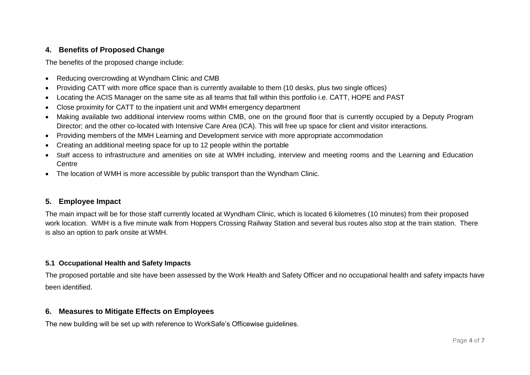# **4. Benefits of Proposed Change**

The benefits of the proposed change include:

- Reducing overcrowding at Wyndham Clinic and CMB
- Providing CATT with more office space than is currently available to them (10 desks, plus two single offices)
- Locating the ACIS Manager on the same site as all teams that fall within this portfolio i.e. CATT, HOPE and PAST
- Close proximity for CATT to the inpatient unit and WMH emergency department
- Making available two additional interview rooms within CMB, one on the ground floor that is currently occupied by a Deputy Program Director; and the other co-located with Intensive Care Area (ICA). This will free up space for client and visitor interactions.
- Providing members of the MMH Learning and Development service with more appropriate accommodation
- Creating an additional meeting space for up to 12 people within the portable
- Staff access to infrastructure and amenities on site at WMH including, interview and meeting rooms and the Learning and Education Centre
- The location of WMH is more accessible by public transport than the Wyndham Clinic.

## **5. Employee Impact**

The main impact will be for those staff currently located at Wyndham Clinic, which is located 6 kilometres (10 minutes) from their proposed work location. WMH is a five minute walk from Hoppers Crossing Railway Station and several bus routes also stop at the train station. There is also an option to park onsite at WMH.

#### **5.1 Occupational Health and Safety Impacts**

The proposed portable and site have been assessed by the Work Health and Safety Officer and no occupational health and safety impacts have been identified.

## **6. Measures to Mitigate Effects on Employees**

The new building will be set up with reference to WorkSafe's Officewise guidelines.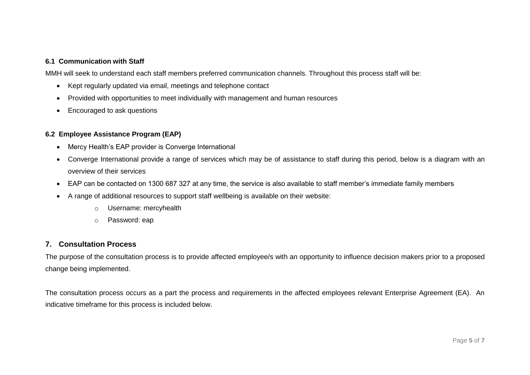#### **6.1 Communication with Staff**

MMH will seek to understand each staff members preferred communication channels. Throughout this process staff will be:

- Kept regularly updated via email, meetings and telephone contact
- Provided with opportunities to meet individually with management and human resources
- Encouraged to ask questions

#### **6.2 Employee Assistance Program (EAP)**

- Mercy Health's EAP provider is Converge International
- Converge International provide a range of services which may be of assistance to staff during this period, below is a diagram with an overview of their services
- EAP can be contacted on 1300 687 327 at any time, the service is also available to staff member's immediate family members
- A range of additional resources to support staff wellbeing is available on their website:
	- o Username: mercyhealth
	- o Password: eap

### **7. Consultation Process**

The purpose of the consultation process is to provide affected employee/s with an opportunity to influence decision makers prior to a proposed change being implemented.

The consultation process occurs as a part the process and requirements in the affected employees relevant Enterprise Agreement (EA). An indicative timeframe for this process is included below.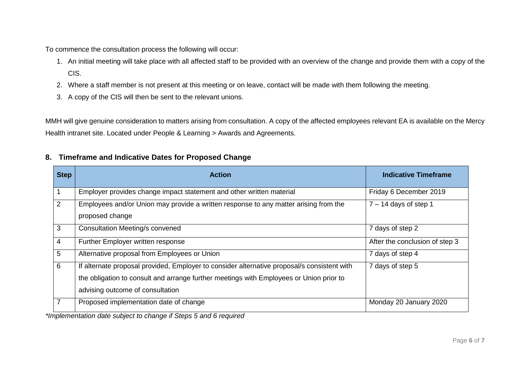To commence the consultation process the following will occur:

- 1. An initial meeting will take place with all affected staff to be provided with an overview of the change and provide them with a copy of the CIS.
- 2. Where a staff member is not present at this meeting or on leave, contact will be made with them following the meeting.
- 3. A copy of the CIS will then be sent to the relevant unions.

MMH will give genuine consideration to matters arising from consultation. A copy of the affected employees relevant EA is available on the Mercy Health intranet site. Located under People & Learning > Awards and Agreements.

# **8. Timeframe and Indicative Dates for Proposed Change**

| <b>Step</b>    | <b>Action</b>                                                                                                                                                                                                              | <b>Indicative Timeframe</b>    |
|----------------|----------------------------------------------------------------------------------------------------------------------------------------------------------------------------------------------------------------------------|--------------------------------|
|                | Employer provides change impact statement and other written material                                                                                                                                                       | Friday 6 December 2019         |
| 2              | Employees and/or Union may provide a written response to any matter arising from the<br>proposed change                                                                                                                    | $7 - 14$ days of step 1        |
| 3              | <b>Consultation Meeting/s convened</b>                                                                                                                                                                                     | 7 days of step 2               |
| $\overline{4}$ | Further Employer written response                                                                                                                                                                                          | After the conclusion of step 3 |
| 5              | Alternative proposal from Employees or Union                                                                                                                                                                               | 7 days of step 4               |
| 6              | If alternate proposal provided, Employer to consider alternative proposal/s consistent with<br>the obligation to consult and arrange further meetings with Employees or Union prior to<br>advising outcome of consultation | 7 days of step 5               |
| 7              | Proposed implementation date of change                                                                                                                                                                                     | Monday 20 January 2020         |

*\*Implementation date subject to change if Steps 5 and 6 required*